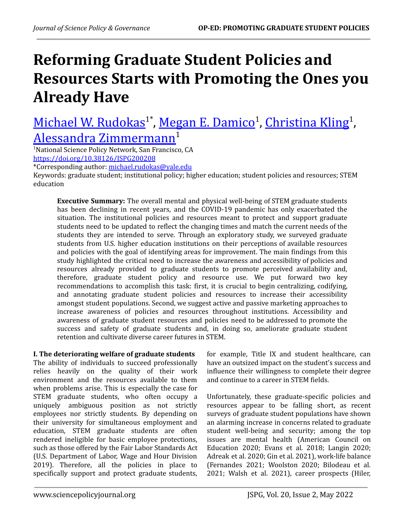# **Reforming Graduate Student Policies and Resources Starts with Promoting the Ones you Already Have**

Michael W. [Rudokas](https://orcid.org/0000-0002-6434-7586)<sup>1\*</sup>, Megan E. [Damico](https://orcid.org/0000-0001-8125-1538)<sup>1</sup>, [Christina](https://orcid.org/0000-0003-2967-3877) Kling<sup>1</sup>, Alessandra [Zimmermann](https://orcid.org/0000-0001-6100-4468) 1

<sup>1</sup>National Science Policy Network, San Francisco, CA <https://doi.org/10.38126/JSPG200208>

\*Corresponding author: [michael.rudokas@yale.edu](mailto:michael.rudokas@yale.edu)

Keywords: graduate student; institutional policy; higher education; student policies and resources; STEM education

**Executive Summary:** The overall mental and physical well-being of STEM graduate students has been declining in recent years, and the COVID-19 pandemic has only exacerbated the situation. The institutional policies and resources meant to protect and support graduate students need to be updated to reflect the changing times and match the current needs of the students they are intended to serve. Through an exploratory study, we surveyed graduate students from U.S. higher education institutions on their perceptions of available resources and policies with the goal of identifying areas for improvement. The main findings from this study highlighted the critical need to increase the awareness and accessibility of policies and resources already provided to graduate students to promote perceived availability and, therefore, graduate student policy and resource use. We put forward two key recommendations to accomplish this task: first, it is crucial to begin centralizing, codifying, and annotating graduate student policies and resources to increase their accessibility amongst student populations. Second, we suggest active and passive marketing approaches to increase awareness of policies and resources throughout institutions. Accessibility and awareness of graduate student resources and policies need to be addressed to promote the success and safety of graduate students and, in doing so, ameliorate graduate student retention and cultivate diverse career futures in STEM.

## **I. The deteriorating welfare of graduate students**

The ability of individuals to succeed professionally relies heavily on the quality of their work environment and the resources available to them when problems arise. This is especially the case for STEM graduate students, who often occupy a uniquely ambiguous position as not strictly employees nor strictly students. By depending on their university for simultaneous employment and education, STEM graduate students are often rendered ineligible for basic employee protections, such as those offered by the Fair Labor Standards Act (U.S. Department of Labor, Wage and Hour Division 2019). Therefore, all the policies in place to specifically support and protect graduate students,

for example, Title IX and student healthcare, can have an outsized impact on the student's success and influence their willingness to complete their degree and continue to a career in STEM fields.

Unfortunately, these graduate-specific policies and resources appear to be falling short, as recent surveys of graduate student populations have shown an alarming increase in concerns related to graduate student well-being and security; among the top issues are mental health (American Council on Education 2020; Evans et al. 2018; Langin 2020; Adreak et al. 2020; Gin et al. 2021), work-life balance (Fernandes 2021; Woolston 2020; Bilodeau et al. 2021; Walsh et al. 2021), career prospects (Hiler,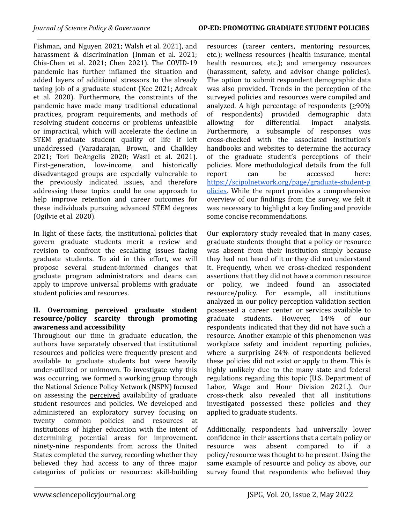Fishman, and Nguyen 2021; Walsh et al. 2021), and harassment & discrimination (Inman et al. 2021; Chia-Chen et al. 2021; Chen 2021). The COVID-19 pandemic has further inflamed the situation and added layers of additional stressors to the already taxing job of a graduate student (Kee 2021; Adreak et al. 2020). Furthermore, the constraints of the pandemic have made many traditional educational practices, program requirements, and methods of resolving student concerns or problems unfeasible or impractical, which will accelerate the decline in STEM graduate student quality of life if left unaddressed (Varadarajan, Brown, and Chalkley 2021; Tori DeAngelis 2020; Wasil et al. 2021). First-generation, low-income, and historically disadvantaged groups are especially vulnerable to the previously indicated issues, and therefore addressing these topics could be one approach to help improve retention and career outcomes for these individuals pursuing advanced STEM degrees (Ogilvie et al. 2020).

In light of these facts, the institutional policies that govern graduate students merit a review and revision to confront the escalating issues facing graduate students. To aid in this effort, we will propose several student-informed changes that graduate program administrators and deans can apply to improve universal problems with graduate student policies and resources.

#### **II. Overcoming perceived graduate student resource/policy scarcity through promoting awareness and accessibility**

Throughout our time in graduate education, the authors have separately observed that institutional resources and policies were frequently present and available to graduate students but were heavily under-utilized or unknown. To investigate why this was occurring, we formed a working group through the National Science Policy Network (NSPN) focused on assessing the perceived availability of graduate student resources and policies. We developed and administered an exploratory survey focusing on twenty common policies and resources at institutions of higher education with the intent of determining potential areas for improvement. ninety-nine respondents from across the United States completed the survey, recording whether they believed they had access to any of three major categories of policies or resources: skill-building

resources (career centers, mentoring resources, etc.); wellness resources (health insurance, mental health resources, etc.); and emergency resources (harassment, safety, and advisor change policies). The option to submit respondent demographic data was also provided. Trends in the perception of the surveyed policies and resources were compiled and analyzed. A high percentage of respondents  $(≥90%$ of respondents) provided demographic data allowing for differential impact analysis. Furthermore, a subsample of responses was cross-checked with the associated institution's handbooks and websites to determine the accuracy of the graduate student's perceptions of their policies. More methodological details from the full report can be accessed here: [https://scipolnetwork.org/page/graduate-student-p](https://scipolnetwork.org/page/graduate-student-policies) [olicies.](https://scipolnetwork.org/page/graduate-student-policies) While the report provides a comprehensive overview of our findings from the survey, we felt it was necessary to highlight a key finding and provide some concise recommendations.

Our exploratory study revealed that in many cases, graduate students thought that a policy or resource was absent from their institution simply because they had not heard of it or they did not understand it. Frequently, when we cross-checked respondent assertions that they did not have a common resource or policy, we indeed found an associated resource/policy. For example, all institutions analyzed in our policy perception validation section possessed a career center or services available to graduate students. However, 14% of our respondents indicated that they did not have such a resource. Another example of this phenomenon was workplace safety and incident reporting policies, where a surprising 24% of respondents believed these policies did not exist or apply to them. This is highly unlikely due to the many state and federal regulations regarding this topic (U.S. [Department](https://www.zotero.org/google-docs/?5o4jxo) of Labor, Wage and Hour [Division](https://www.zotero.org/google-docs/?5o4jxo) 2021.). Our cross-check also revealed that all institutions investigated possessed these policies and they applied to graduate students.

Additionally, respondents had universally lower confidence in their assertions that a certain policy or resource was absent compared to if a policy/resource was thought to be present. Using the same example of resource and policy as above, our survey found that respondents who believed they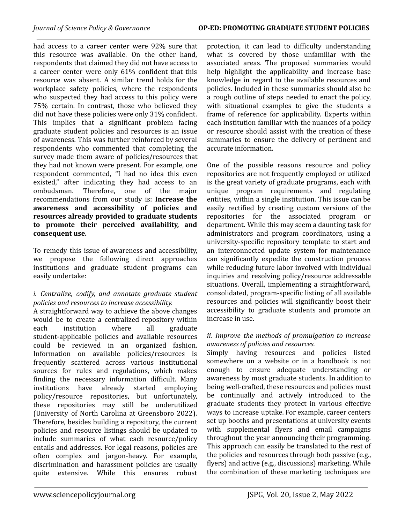had access to a career center were 92% sure that this resource was available. On the other hand, respondents that claimed they did not have access to a career center were only 61% confident that this resource was absent. A similar trend holds for the workplace safety policies, where the respondents who suspected they had access to this policy were 75% certain. In contrast, those who believed they did not have these policies were only 31% confident. This implies that a significant problem facing graduate student policies and resources is an issue of awareness. This was further reinforced by several respondents who commented that completing the survey made them aware of policies/resources that they had not known were present. For example, one respondent commented, "I had no idea this even existed," after indicating they had access to an ombudsman. Therefore, one of the major recommendations from our study is: **Increase the awareness and accessibility of policies and resources already provided to graduate students to promote their perceived availability, and consequent use.**

To remedy this issue of awareness and accessibility, we propose the following direct approaches institutions and graduate student programs can easily undertake:

#### *i. Centralize, codify, and annotate graduate student policies and resources to increase accessibility.*

A straightforward way to achieve the above changes would be to create a centralized repository within each institution where all graduate student-applicable policies and available resources could be reviewed in an organized fashion. Information on available policies/resources is frequently scattered across various institutional sources for rules and regulations, which makes finding the necessary information difficult. Many institutions have already started employing policy/resource repositories, but unfortunately, these repositories may still be underutilized (University of North Carolina at [Greensboro](https://www.zotero.org/google-docs/?SZRlQm) 2022). Therefore, besides building a repository, the current policies and resource listings should be updated to include summaries of what each resource/policy entails and addresses. For legal reasons, policies are often complex and jargon-heavy. For example, discrimination and harassment policies are usually quite extensive. While this ensures robust

protection, it can lead to difficulty understanding what is covered by those unfamiliar with the associated areas. The proposed summaries would help highlight the applicability and increase base knowledge in regard to the available resources and policies. Included in these summaries should also be a rough outline of steps needed to enact the policy, with situational examples to give the students a frame of reference for applicability. Experts within each institution familiar with the nuances of a policy or resource should assist with the creation of these summaries to ensure the delivery of pertinent and accurate information.

One of the possible reasons resource and policy repositories are not frequently employed or utilized is the great variety of graduate programs, each with unique program requirements and regulating entities, within a single institution. This issue can be easily rectified by creating custom versions of the repositories for the associated program or department. While this may seem a daunting task for administrators and program coordinators, using a university-specific repository template to start and an interconnected update system for maintenance can significantly expedite the construction process while reducing future labor involved with individual inquiries and resolving policy/resource addressable situations. Overall, implementing a straightforward, consolidated, program-specific listing of all available resources and policies will significantly boost their accessibility to graduate students and promote an increase in use.

#### *ii. Improve the methods of promulgation to increase awareness of policies and resources.*

Simply having resources and policies listed somewhere on a website or in a handbook is not enough to ensure adequate understanding or awareness by most graduate students. In addition to being well-crafted, these resources and policies must be continually and actively introduced to the graduate students they protect in various effective ways to increase uptake. For example, career centers set up booths and presentations at university events with supplemental flyers and email campaigns throughout the year announcing their programming. This approach can easily be translated to the rest of the policies and resources through both passive (e.g., flyers) and active (e.g., discussions) marketing. While the combination of these marketing techniques are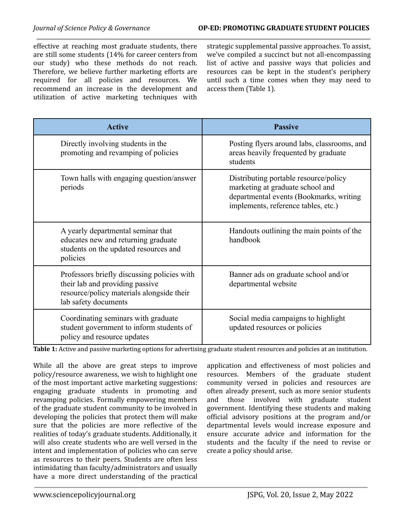effective at reaching most graduate students, there are still some students (14% for career centers from our study) who these methods do not reach. Therefore, we believe further marketing efforts are required for all policies and resources. We recommend an increase in the development and utilization of active marketing techniques with

strategic supplemental passive approaches. To assist, we've compiled a succinct but not all-encompassing list of active and passive ways that policies and resources can be kept in the student's periphery until such a time comes when they may need to access them (Table 1).

| <b>Active</b>                                                                                                                                       | <b>Passive</b>                                                                                                                                              |
|-----------------------------------------------------------------------------------------------------------------------------------------------------|-------------------------------------------------------------------------------------------------------------------------------------------------------------|
| Directly involving students in the<br>promoting and revamping of policies                                                                           | Posting flyers around labs, classrooms, and<br>areas heavily frequented by graduate<br>students                                                             |
| Town halls with engaging question/answer<br>periods                                                                                                 | Distributing portable resource/policy<br>marketing at graduate school and<br>departmental events (Bookmarks, writing<br>implements, reference tables, etc.) |
| A yearly departmental seminar that<br>educates new and returning graduate<br>students on the updated resources and<br>policies                      | Handouts outlining the main points of the<br>handbook                                                                                                       |
| Professors briefly discussing policies with<br>their lab and providing passive<br>resource/policy materials alongside their<br>lab safety documents | Banner ads on graduate school and/or<br>departmental website                                                                                                |
| Coordinating seminars with graduate<br>student government to inform students of<br>policy and resource updates                                      | Social media campaigns to highlight<br>updated resources or policies                                                                                        |

**Table 1:** Active and passive marketing options for advertising graduate student resources and policies at an institution.

While all the above are great steps to improve policy/resource awareness, we wish to highlight one of the most important active marketing suggestions: engaging graduate students in promoting and revamping policies. Formally empowering members of the graduate student community to be involved in developing the policies that protect them will make sure that the policies are more reflective of the realities of today's graduate students. Additionally, it will also create students who are well versed in the intent and implementation of policies who can serve as resources to their peers. Students are often less intimidating than faculty/administrators and usually have a more direct understanding of the practical

application and effectiveness of most policies and resources. Members of the graduate student community versed in policies and resources are often already present, such as more senior students and those involved with graduate student government. Identifying these students and making official advisory positions at the program and/or departmental levels would increase exposure and ensure accurate advice and information for the students and the faculty if the need to revise or create a policy should arise.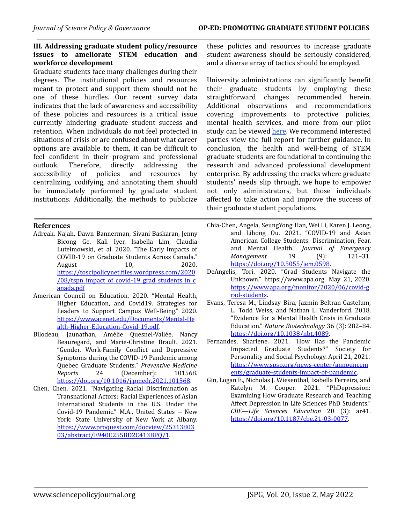### **III. Addressing graduate student policy/resource issues to ameliorate STEM education and workforce development**

Graduate students face many challenges during their degrees. The institutional policies and resources meant to protect and support them should not be one of these hurdles. Our recent survey data indicates that the lack of awareness and accessibility of these policies and resources is a critical issue currently hindering graduate student success and retention. When individuals do not feel protected in situations of crisis or are confused about what career options are available to them, it can be difficult to feel confident in their program and professional outlook. Therefore, directly addressing the accessibility of policies and resources by centralizing, codifying, and annotating them should be immediately performed by graduate student institutions. Additionally, the methods to publicize

#### **References**

- Adreak, Najah, Dawn Bannerman, Sivani Baskaran, Jenny Bicong Ge, Kali Iyer, Isabella Lim, Claudia Lutelmowski, et al. 2020. "The Early Impacts of COVID-19 on Graduate Students Across Canada." August 10, 2020. [https://toscipolicynet.files.wordpress.com/2020](https://toscipolicynet.files.wordpress.com/2020/08/tspn_impact_of_covid-19_grad_students_in_canada.pdf)  $/08$ /tspn\_impact\_of\_covid-19\_grad\_students\_in\_c [anada.pdf](https://toscipolicynet.files.wordpress.com/2020/08/tspn_impact_of_covid-19_grad_students_in_canada.pdf)
- American Council on Education. 2020. "Mental Health, Higher Education, and Covid19. Strategies for Leaders to Support Campus Well-Being." 2020. [https://www.acenet.edu/Documents/Mental-He](https://www.acenet.edu/Documents/Mental-Health-Higher-Education-Covid-19.pdf) [alth-Higher-Education-Covid-19.pdf.](https://www.acenet.edu/Documents/Mental-Health-Higher-Education-Covid-19.pdf)
- Bilodeau, Jaunathan, Amélie Quesnel-Vallée, Nancy Beauregard, and Marie-Christine Brault. 2021. "Gender, Work-Family Conflict and Depressive Symptoms during the COVID-19 Pandemic among Quebec Graduate Students." *Preventive Medicine Reports* 24 (December): 101568. [https://doi.org/10.1016/j.pmedr.2021.101568.](https://doi.org/10.1016/j.pmedr.2021.101568)
- Chen, Chen. 2021. "Navigating Racial Discrimination as Transnational Actors: Racial Experiences of Asian International Students in the U.S. Under the Covid-19 Pandemic." M.A., United States -- New York: State University of New York at Albany. [https://www.proquest.com/docview/25313803](https://www.proquest.com/docview/2531380303/abstract/E940E255BD2C413BPQ/1) [03/abstract/E940E255BD2C413BPQ/1.](https://www.proquest.com/docview/2531380303/abstract/E940E255BD2C413BPQ/1)

these policies and resources to increase graduate student awareness should be seriously considered, and a diverse array of tactics should be employed.

University administrations can significantly benefit their graduate students by employing these straightforward changes recommended herein. Additional observations and recommendations covering improvements to protective policies, mental health services, and more from our pilot study can be viewed [here.](https://scipolnetwork.org/page/graduate-student-policies) We recommend interested parties view the full report for further guidance. In conclusion, the health and well-being of STEM graduate students are foundational to continuing the research and advanced professional development enterprise. By addressing the cracks where graduate students' needs slip through, we hope to empower not only administrators, but those individuals affected to take action and improve the success of their graduate student populations.

- Chia-Chen, Angela, SeungYong Han, Wei Li, Karen J. Leong, and Lihong Ou. 2021. "COVID-19 and Asian American College Students: Discrimination, Fear, and Mental Health." *Journal of Emergency Management* 19 (9): 121–31. [https://doi.org/10.5055/jem.0598.](https://doi.org/10.5055/jem.0598)
- DeAngelis, Tori. 2020. "Grad Students Navigate the Unknown." https://www.apa.org. May 21, 2020. [https://www.apa.org/monitor/2020/06/covid-g](https://www.apa.org/monitor/2020/06/covid-grad-students) [rad-students](https://www.apa.org/monitor/2020/06/covid-grad-students).
- Evans, Teresa M., Lindsay Bira, Jazmin Beltran Gastelum, L. Todd Weiss, and Nathan L. Vanderford. 2018. "Evidence for a Mental Health Crisis in Graduate Education." *Nature Biotechnology* 36 (3): 282–84. <https://doi.org/10.1038/nbt.4089>.
- Fernandes, Sharlene. 2021. "How Has the Pandemic Impacted Graduate Students?" Society for Personality and Social Psychology. April 21, 2021. [https://www.spsp.org/news-center/announcem](https://www.spsp.org/news-center/announcements/graduate-students-impact-of-pandemic) [ents/graduate-students-impact-of-pandemic.](https://www.spsp.org/news-center/announcements/graduate-students-impact-of-pandemic)
- Gin, Logan E., Nicholas J. Wiesenthal, Isabella Ferreira, and Katelyn M. Cooper. 2021. "PhDepression: Examining How Graduate Research and Teaching Affect Depression in Life Sciences PhD Students." *CBE—Life Sciences Education* 20 (3): ar41. <https://doi.org/10.1187/cbe.21-03-0077>.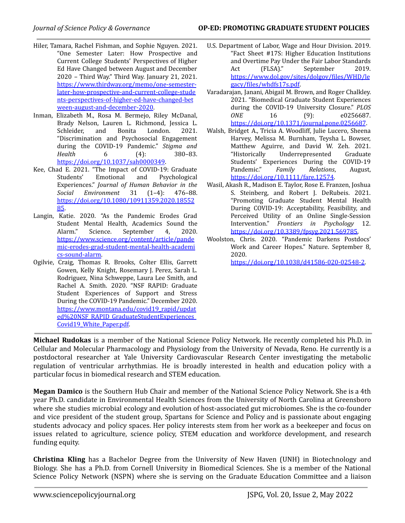- Hiler, Tamara, Rachel Fishman, and Sophie Nguyen. 2021. "One Semester Later: How Prospective and Current College Students' Perspectives of Higher Ed Have Changed between August and December 2020 – Third Way." Third Way. January 21, 2021. [https://www.thirdway.org/memo/one-semester](https://www.thirdway.org/memo/one-semester-later-how-prospective-and-current-college-students-perspectives-of-higher-ed-have-changed-between-august-and-december-2020)[later-how-prospective-and-current-college-stude](https://www.thirdway.org/memo/one-semester-later-how-prospective-and-current-college-students-perspectives-of-higher-ed-have-changed-between-august-and-december-2020) [nts-perspectives-of-higher-ed-have-changed-bet](https://www.thirdway.org/memo/one-semester-later-how-prospective-and-current-college-students-perspectives-of-higher-ed-have-changed-between-august-and-december-2020) [ween-august-and-december-2020.](https://www.thirdway.org/memo/one-semester-later-how-prospective-and-current-college-students-perspectives-of-higher-ed-have-changed-between-august-and-december-2020)
- Inman, Elizabeth M., Rosa M. Bermejo, Riley McDanal, Brady Nelson, Lauren L. Richmond, Jessica L. Schleider, and Bonita London. 2021. "Discrimination and Psychosocial Engagement during the COVID-19 Pandemic." *Stigma and Health* 6 (4): 380–83. <https://doi.org/10.1037/sah0000349>.
- Kee, Chad E. 2021. "The Impact of COVID-19: Graduate Students' Emotional and Psychological Experiences." *Journal of Human Behavior in the Social Environment* 31 (1–4): 476–88. [https://doi.org/10.1080/10911359.2020.18552](https://doi.org/10.1080/10911359.2020.1855285) [85](https://doi.org/10.1080/10911359.2020.1855285).
- Langin, Katie. 2020. "As the Pandemic Erodes Grad Student Mental Health, Academics Sound the Alarm." Science. September 4, 2020. [https://www.science.org/content/article/pande](https://www.science.org/content/article/pandemic-erodes-grad-student-mental-health-academics-sound-alarm) [mic-erodes-grad-student-mental-health-academi](https://www.science.org/content/article/pandemic-erodes-grad-student-mental-health-academics-sound-alarm) [cs-sound-alarm.](https://www.science.org/content/article/pandemic-erodes-grad-student-mental-health-academics-sound-alarm)
- Ogilvie, Craig, Thomas R. Brooks, Colter Ellis, Garrett Gowen, Kelly Knight, Rosemary J. Perez, Sarah L. Rodriguez, Nina Schweppe, Laura Lee Smith, and Rachel A. Smith. 2020. "NSF RAPID: Graduate Student Experiences of Support and Stress During the COVID-19 Pandemic." December 2020. [https://www.montana.edu/covid19\\_rapid/updat](https://www.montana.edu/covid19_rapid/updated%20NSF_RAPID_GraduateStudentExperiences_Covid19_White_Paper.pdf) [ed%20NSF\\_RAPID\\_GraduateStudentExperiences\\_](https://www.montana.edu/covid19_rapid/updated%20NSF_RAPID_GraduateStudentExperiences_Covid19_White_Paper.pdf) [Covid19\\_White\\_Paper.pdf.](https://www.montana.edu/covid19_rapid/updated%20NSF_RAPID_GraduateStudentExperiences_Covid19_White_Paper.pdf)
- U.S. Department of Labor, Wage and Hour Division. 2019. "Fact Sheet #17S: Higher Education Institutions and Overtime Pay Under the Fair Labor Standards Act (FLSA)." September 2019. [https://www.dol.gov/sites/dolgov/files/WHD/le](https://www.dol.gov/sites/dolgov/files/WHD/legacy/files/whdfs17s.pdf) [gacy/files/whdfs17s.pdf](https://www.dol.gov/sites/dolgov/files/WHD/legacy/files/whdfs17s.pdf).
- Varadarajan, Janani, Abigail M. Brown, and Roger Chalkley. 2021. "Biomedical Graduate Student Experiences during the COVID-19 University Closure." *PLOS ONE* 16 (9): e0256687. <https://doi.org/10.1371/journal.pone.0256687>.
- Walsh, Bridget A., Tricia A. Woodliff, Julie Lucero, Sheena Harvey, Melissa M. Burnham, Teysha L. Bowser, Matthew Aguirre, and David W. Zeh. 2021. "Historically Underrepresented Graduate Students' Experiences During the COVID‐19 Pandemic." *Family Relations*, August, [https://doi.org/10.1111/fare.12574.](https://doi.org/10.1111/fare.12574)
- Wasil, Akash R., Madison E. Taylor, Rose E. Franzen, Joshua S. Steinberg, and Robert J. DeRubeis. 2021. "Promoting Graduate Student Mental Health During COVID-19: Acceptability, Feasibility, and Perceived Utility of an Online Single-Session Intervention." *Frontiers in Psychology* 12. [https://doi.org/10.3389/fpsyg.2021.569785.](https://doi.org/10.3389/fpsyg.2021.569785)
- Woolston, Chris. 2020. "Pandemic Darkens Postdocs' Work and Career Hopes." Nature. September 8, 2020. [https://doi.org/10.1038/d41586-020-02548-2.](https://doi.org/10.1038/d41586-020-02548-2)

**Michael Rudokas** is a member of the National Science Policy Network. He recently completed his Ph.D. in Cellular and Molecular Pharmacology and Physiology from the University of Nevada, Reno. He currently is a postdoctoral researcher at Yale University Cardiovascular Research Center investigating the metabolic regulation of ventricular arrhythmias. He is broadly interested in health and education policy with a particular focus in biomedical research and STEM education.

**Megan Damico** is the Southern Hub Chair and member of the National Science Policy Network. She is a 4th year Ph.D. candidate in Environmental Health Sciences from the University of North Carolina at Greensboro where she studies microbial ecology and evolution of host-associated gut microbiomes. She is the co-founder and vice president of the student group, Spartans for Science and Policy and is passionate about engaging students advocacy and policy spaces. Her policy interests stem from her work as a beekeeper and focus on issues related to agriculture, science policy, STEM education and workforce development, and research funding equity.

**Christina Kling** has a Bachelor Degree from the University of New Haven (UNH) in Biotechnology and Biology. She has a Ph.D. from Cornell University in Biomedical Sciences. She is a member of the National Science Policy Network (NSPN) where she is serving on the Graduate Education Committee and a liaison